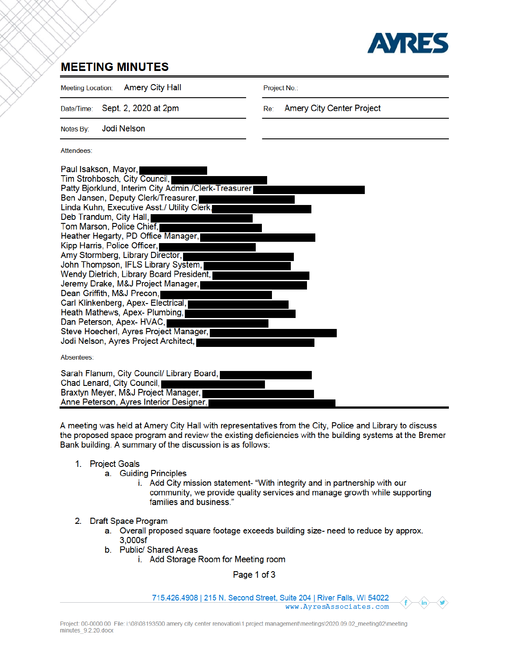

## **MEETING MINUTES**

**Amery City Hall Meeting Location:** Project No.: Sept. 2, 2020 at 2pm **Amery City Center Project** Date/Time: Re<sup>-</sup> **Jodi Nelson** Notes By: Attendees: Paul Isakson, Mayor, Tim Strohbosch, City Council, Patty Bjorklund, Interim City Admin./Clerk-Treasurer Ben Jansen, Deputy Clerk/Treasurer, Linda Kuhn, Executive Asst./ Utility Clerk. Deb Trandum, City Hall, Tom Marson, Police Chief, Heather Hegarty, PD Office Manager, Kipp Harris, Police Officer, Amy Stormberg, Library Director, John Thompson, IFLS Library System, Wendy Dietrich, Library Board President, Jeremy Drake, M&J Project Manager, Dean Griffith, M&J Precon, Carl Klinkenberg, Apex- Electrical, Heath Mathews, Apex- Plumbing, Dan Peterson, Apex-HVAC, Steve Hoecherl, Ayres Project Manager, Jodi Nelson, Ayres Project Architect, Absentees: Sarah Flanum, City Council/ Library Board, Chad Lenard, City Council, Braxtyn Meyer, M&J Project Manager, I Anne Peterson, Ayres Interior Designer,

A meeting was held at Amery City Hall with representatives from the City, Police and Library to discuss the proposed space program and review the existing deficiencies with the building systems at the Bremer Bank building. A summary of the discussion is as follows:

- 1. Project Goals
	- a. Guiding Principles
		- i. Add City mission statement- "With integrity and in partnership with our community, we provide quality services and manage growth while supporting families and business."
- 2. Draft Space Program
	- a. Overall proposed square footage exceeds building size- need to reduce by approx. 3.000sf
	- b. Public/ Shared Areas
		- i. Add Storage Room for Meeting room

Page 1 of 3

715.426.4908 | 215 N. Second Street, Suite 204 | River Falls, WI 54022 www.AyresAssociates.com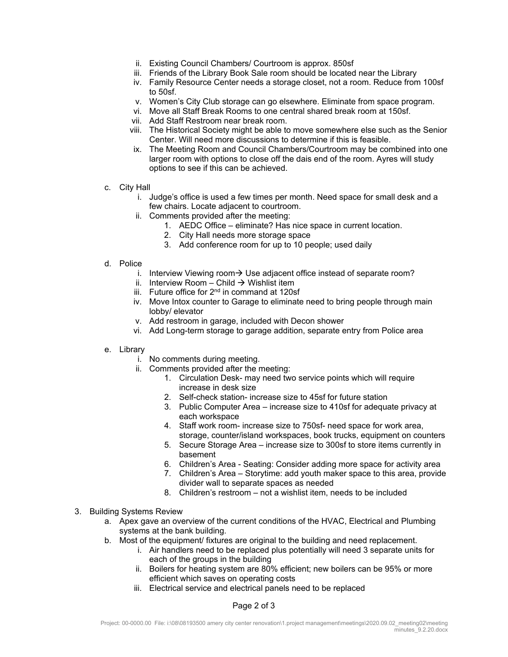- ii. Existing Council Chambers/ Courtroom is approx. 850sf
- iii. Friends of the Library Book Sale room should be located near the Library
- iv. Family Resource Center needs a storage closet, not a room. Reduce from 100sf to 50sf.
- v. Women's City Club storage can go elsewhere. Eliminate from space program.
- vi. Move all Staff Break Rooms to one central shared break room at 150sf.
- vii. Add Staff Restroom near break room.
- viii. The Historical Society might be able to move somewhere else such as the Senior Center. Will need more discussions to determine if this is feasible.
- ix. The Meeting Room and Council Chambers/Courtroom may be combined into one larger room with options to close off the dais end of the room. Ayres will study options to see if this can be achieved.
- c. City Hall
	- i. Judge's office is used a few times per month. Need space for small desk and a few chairs. Locate adjacent to courtroom.
	- ii. Comments provided after the meeting:
		- 1. AEDC Office eliminate? Has nice space in current location.
		- 2. City Hall needs more storage space
		- 3. Add conference room for up to 10 people; used daily
- d. Police
	- i. Interview Viewing room  $\rightarrow$  Use adjacent office instead of separate room?
	- ii. Interview Room Child  $\rightarrow$  Wishlist item
	- iii. Future office for  $2<sup>nd</sup>$  in command at 120sf
	- iv. Move Intox counter to Garage to eliminate need to bring people through main lobby/ elevator
	- v. Add restroom in garage, included with Decon shower
	- vi. Add Long-term storage to garage addition, separate entry from Police area
- e. Library
	- i. No comments during meeting.
	- ii. Comments provided after the meeting:
		- 1. Circulation Desk- may need two service points which will require increase in desk size
		- 2. Self-check station- increase size to 45sf for future station
		- 3. Public Computer Area increase size to 410sf for adequate privacy at each workspace
		- 4. Staff work room- increase size to 750sf- need space for work area, storage, counter/island workspaces, book trucks, equipment on counters
		- 5. Secure Storage Area increase size to 300sf to store items currently in basement
		- 6. Children's Area Seating: Consider adding more space for activity area
		- 7. Children's Area Storytime: add youth maker space to this area, provide divider wall to separate spaces as needed
		- 8. Children's restroom not a wishlist item, needs to be included
- 3. Building Systems Review
	- a. Apex gave an overview of the current conditions of the HVAC, Electrical and Plumbing systems at the bank building.
	- b. Most of the equipment/ fixtures are original to the building and need replacement.
		- i. Air handlers need to be replaced plus potentially will need 3 separate units for each of the groups in the building
		- ii. Boilers for heating system are 80% efficient; new boilers can be 95% or more efficient which saves on operating costs
		- iii. Electrical service and electrical panels need to be replaced